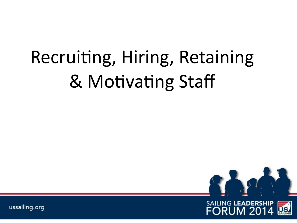# Recruiting, Hiring, Retaining & Motivating Staff



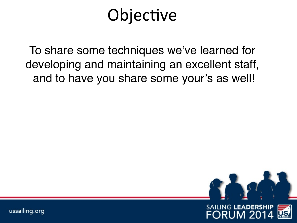#### Objective

To share some techniques we've learned for developing and maintaining an excellent staff, and to have you share some your's as well!

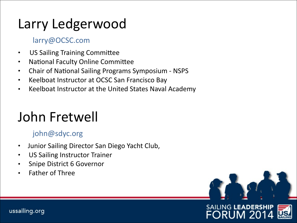#### Larry Ledgerwood

#### larry@OCSC.com

- US Sailing Training Committee
- National Faculty Online Committee
- Chair of National Sailing Programs Symposium NSPS
- Keelboat Instructor at OCSC San Francisco Bay
- Keelboat Instructor at the United States Naval Academy

#### John Fretwell

#### john@sdyc.org

- Junior Sailing Director San Diego Yacht Club,
- US Sailing Instructor Trainer
- Snipe District 6 Governor
- **Father of Three**



3

#### **SAILING LEADERSHIP** FORUM 20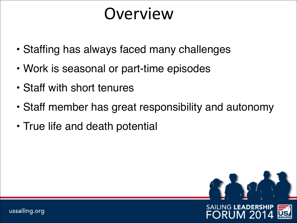#### **Overview**

- Staffing has always faced many challenges
- Work is seasonal or part-time episodes
- Staff with short tenures
- Staff member has great responsibility and autonomy
- True life and death potential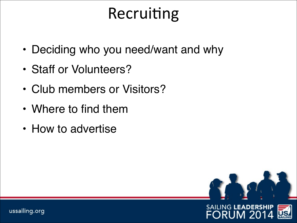#### Recruiting

- Deciding who you need/want and why
- Staff or Volunteers?
- Club members or Visitors?
- Where to find them
- How to advertise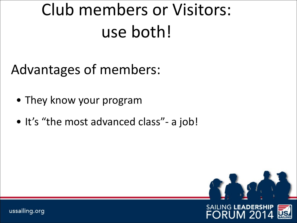# Club members or Visitors: use both!

Advantages of members:

- They know your program
- It's "the most advanced class"- a job!

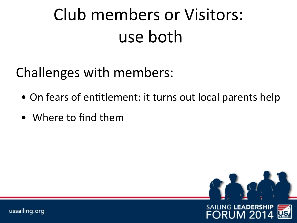# Club members or Visitors: use both

Challenges with members:

- On fears of entitlement: it turns out local parents help
- Where to find them

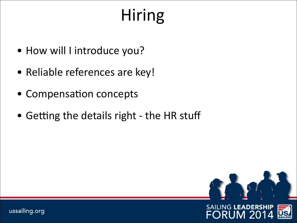# Hiring

- How will I introduce you?
- Reliable references are key!
- Compensation concepts
- Getting the details right the HR stuff

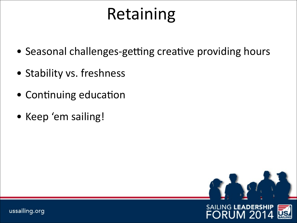## Retaining

- Seasonal challenges-getting creative providing hours
- Stability vs. freshness
- Continuing education
- Keep 'em sailing!

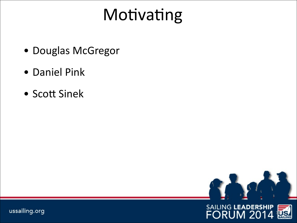## Motivating

- Douglas McGregor
- Daniel Pink
- Scott Sinek



**10JS** 

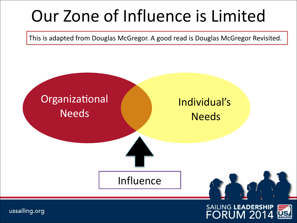## Our Zone of Influence is Limited

This is adapted from Douglas McGregor. A good read is Douglas McGregor Revisited.



11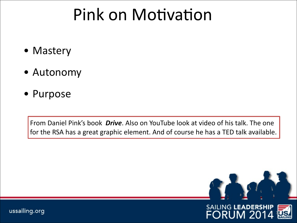#### Pink on Motivation

- Mastery
- Autonomy
- Purpose

From Daniel Pink's book *Drive*. Also on YouTube look at video of his talk. The one for the RSA has a great graphic element. And of course he has a TED talk available.

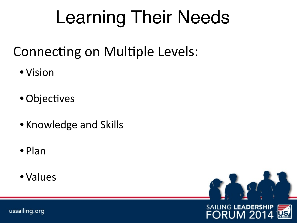# Learning Their Needs

#### Connecting on Multiple Levels:

- •Vision
- Objectives
- Knowledge and Skills
- •Plan
- •Values



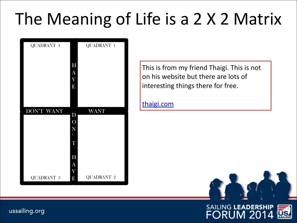## The Meaning of Life is a 2 X 2 Matrix



This is from my friend Thaigi. This is not on his website but there are lots of interesting things there for free.

[thaigi.com](http://thaigi.com)



#### **SAILING LEADERSHIP FORUM 2014** 14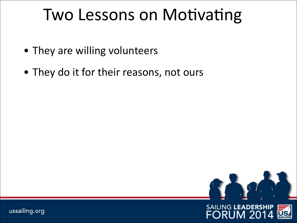#### Two Lessons on Motivating

- They are willing volunteers
- They do it for their reasons, not ours



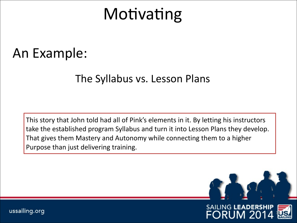#### Motivating

#### An Example:

#### The Syllabus vs. Lesson Plans

This story that John told had all of Pink's elements in it. By letting his instructors take the established program Syllabus and turn it into Lesson Plans they develop. That gives them Mastery and Autonomy while connecting them to a higher Purpose than just delivering training.